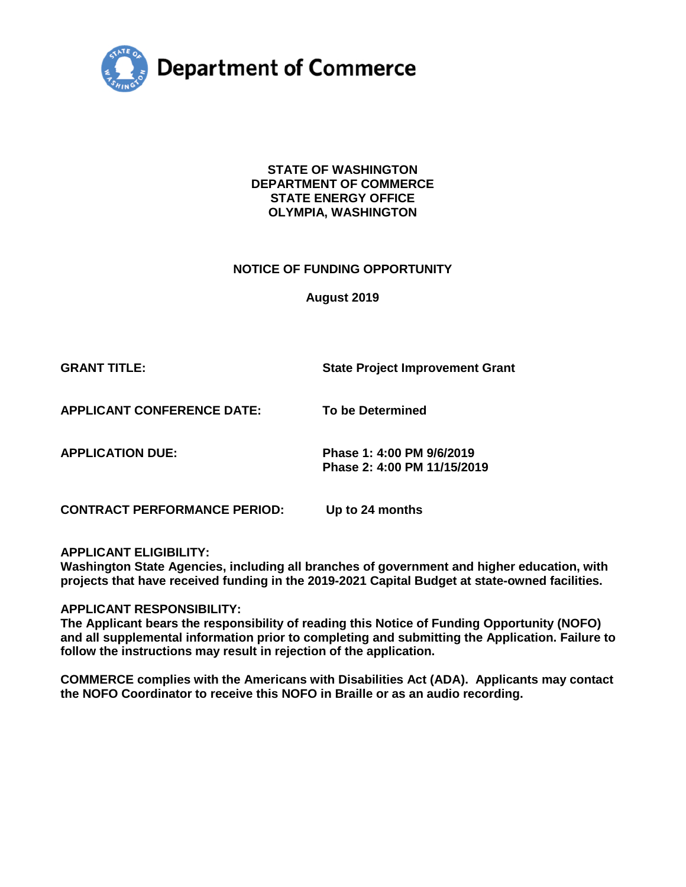

**STATE OF WASHINGTON DEPARTMENT OF COMMERCE STATE ENERGY OFFICE OLYMPIA, WASHINGTON** 

#### **NOTICE OF FUNDING OPPORTUNITY**

**August 2019** 

**GRANT TITLE:** State Project Improvement Grant

**APPLICANT CONFERENCE DATE: To be Determined** 

**APPLICATION DUE: Phase 1: 4:00 PM 9/6/2019 Phase 2: 4:00 PM 11/15/2019** 

**CONTRACT PERFORMANCE PERIOD: Up to 24 months** 

**APPLICANT ELIGIBILITY:** 

**Washington State Agencies, including all branches of government and higher education, with projects that have received funding in the 2019-2021 Capital Budget at state-owned facilities.** 

**APPLICANT RESPONSIBILITY:** 

**The Applicant bears the responsibility of reading this Notice of Funding Opportunity (NOFO) and all supplemental information prior to completing and submitting the Application. Failure to follow the instructions may result in rejection of the application.** 

**COMMERCE complies with the Americans with Disabilities Act (ADA). Applicants may contact the NOFO Coordinator to receive this NOFO in Braille or as an audio recording.**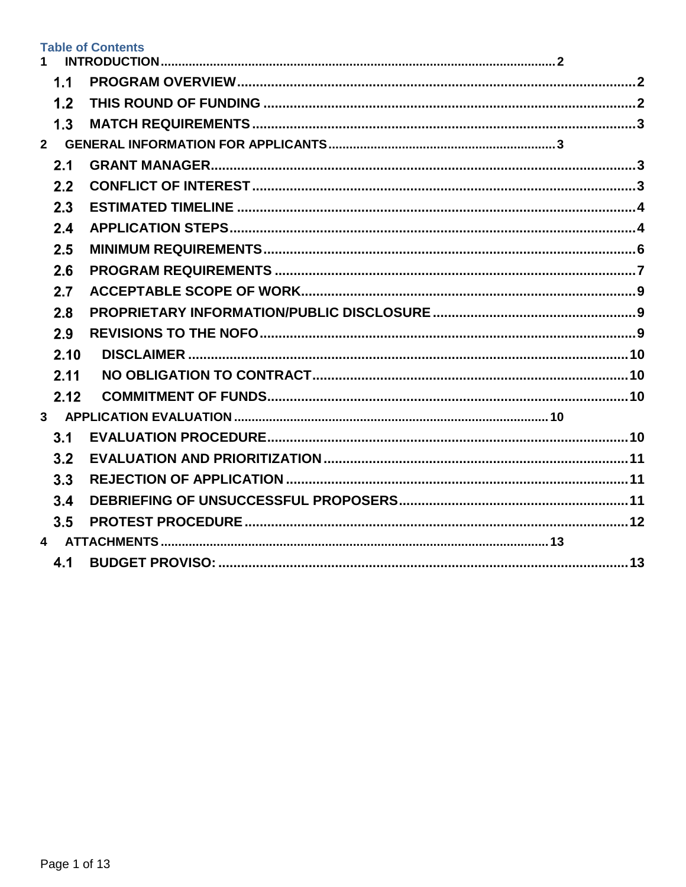## **Table of Contents**

| 1.1  |  |
|------|--|
| 1.2  |  |
| 1.3  |  |
|      |  |
| 2.1  |  |
| 2.2  |  |
| 2.3  |  |
| 2.4  |  |
| 2.5  |  |
| 2.6  |  |
| 2.7  |  |
| 2.8  |  |
| 2.9  |  |
| 2.10 |  |
| 2.11 |  |
| 2.12 |  |
|      |  |
| 3.1  |  |
| 3.2  |  |
| 3.3  |  |
| 3.4  |  |
| 3.5  |  |
|      |  |
| 4.1  |  |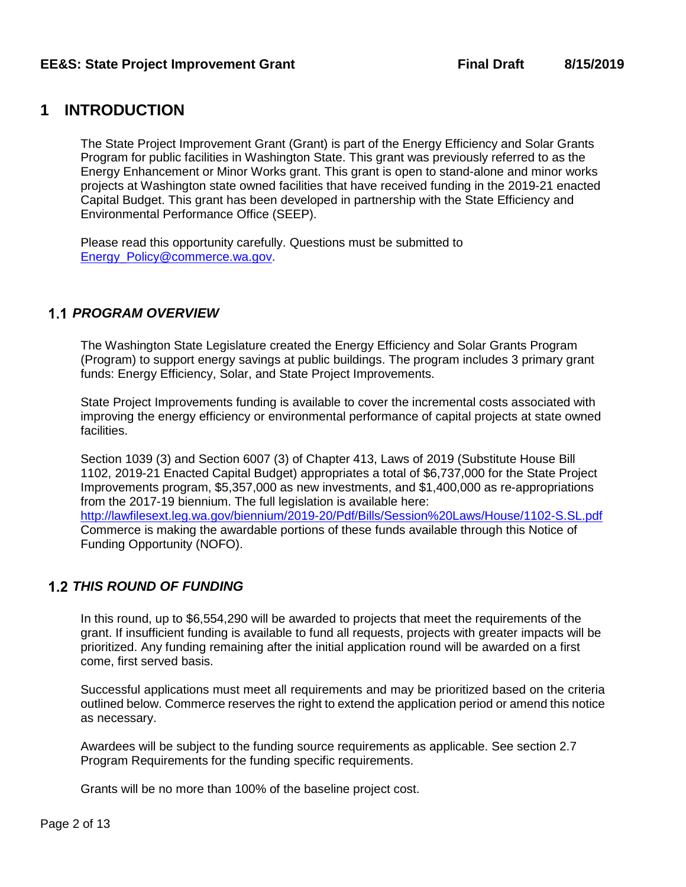# <span id="page-2-0"></span>**1 INTRODUCTION**

The State Project Improvement Grant (Grant) is part of the Energy Efficiency and Solar Grants Program for public facilities in Washington State. This grant was previously referred to as the Energy Enhancement or Minor Works grant. This grant is open to stand-alone and minor works projects at Washington state owned facilities that have received funding in the 2019-21 enacted Capital Budget. This grant has been developed in partnership with the State Efficiency and Environmental Performance Office (SEEP).

Please read this opportunity carefully. Questions must be submitted to [Energy\\_Policy@commerce.wa.gov.](mailto:Energy_Policy@commerce.wa.gov)

# <span id="page-2-1"></span>*PROGRAM OVERVIEW*

The Washington State Legislature created the Energy Efficiency and Solar Grants Program (Program) to support energy savings at public buildings. The program includes 3 primary grant funds: Energy Efficiency, Solar, and State Project Improvements.

State Project Improvements funding is available to cover the incremental costs associated with improving the energy efficiency or environmental performance of capital projects at state owned facilities.

Section 1039 (3) and Section 6007 (3) of Chapter 413, Laws of 2019 (Substitute House Bill 1102, 2019-21 Enacted Capital Budget) appropriates a total of \$6,737,000 for the State Project Improvements program, \$5,357,000 as new investments, and \$1,400,000 as re-appropriations from the 2017-19 biennium. The full legislation is available here: <http://lawfilesext.leg.wa.gov/biennium/2019-20/Pdf/Bills/Session%20Laws/House/1102-S.SL.pdf> Commerce is making the awardable portions of these funds available through this Notice of Funding Opportunity (NOFO).

# <span id="page-2-2"></span>*THIS ROUND OF FUNDING*

In this round, up to \$6,554,290 will be awarded to projects that meet the requirements of the grant. If insufficient funding is available to fund all requests, projects with greater impacts will be prioritized. Any funding remaining after the initial application round will be awarded on a first come, first served basis.

Successful applications must meet all requirements and may be prioritized based on the criteria outlined below. Commerce reserves the right to extend the application period or amend this notice as necessary.

Awardees will be subject to the funding source requirements as applicable. See section 2.7 Program Requirements for the funding specific requirements.

Grants will be no more than 100% of the baseline project cost.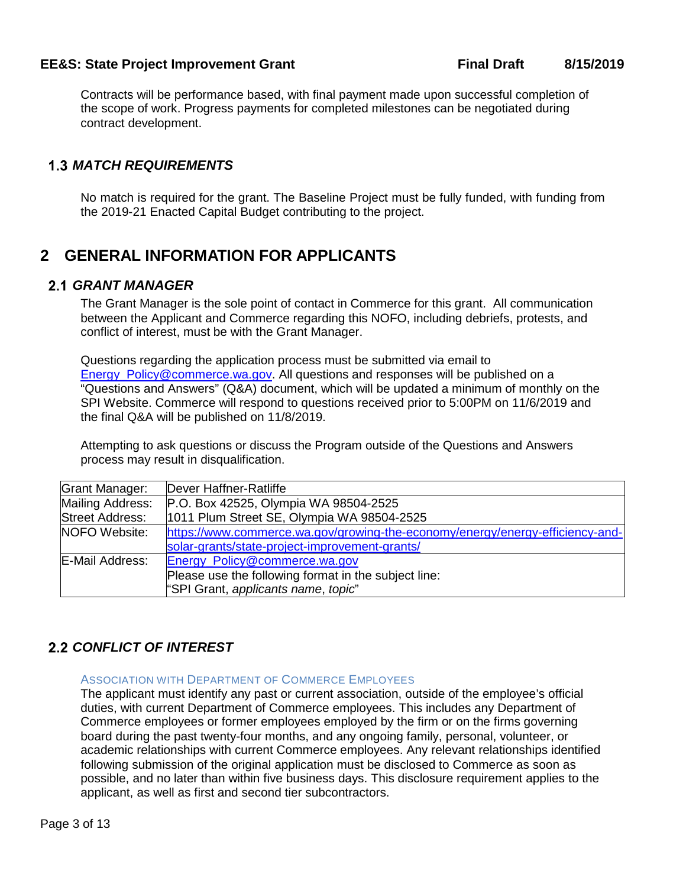Contracts will be performance based, with final payment made upon successful completion of the scope of work. Progress payments for completed milestones can be negotiated during contract development.

## <span id="page-3-1"></span><span id="page-3-0"></span>*MATCH REQUIREMENTS*

No match is required for the grant. The Baseline Project must be fully funded, with funding from the 2019-21 Enacted Capital Budget contributing to the project.

# <span id="page-3-2"></span>**2 GENERAL INFORMATION FOR APPLICANTS**

### <span id="page-3-3"></span>*GRANT MANAGER*

The Grant Manager is the sole point of contact in Commerce for this grant. All communication between the Applicant and Commerce regarding this NOFO, including debriefs, protests, and conflict of interest, must be with the Grant Manager.

Questions regarding the application process must be submitted via email to [Energy\\_Policy@commerce.wa.gov.](mailto:Energy_Policy@commerce.wa.gov) All questions and responses will be published on a "Questions and Answers" (Q&A) document, which will be updated a minimum of monthly on the SPI Website. Commerce will respond to questions received prior to 5:00PM on 11/6/2019 and the final Q&A will be published on 11/8/2019.

Attempting to ask questions or discuss the Program outside of the Questions and Answers process may result in disqualification.

| Grant Manager:         | Dever Haffner-Ratliffe                                                        |  |  |
|------------------------|-------------------------------------------------------------------------------|--|--|
| Mailing Address:       | P.O. Box 42525, Olympia WA 98504-2525                                         |  |  |
| <b>Street Address:</b> | 1011 Plum Street SE, Olympia WA 98504-2525                                    |  |  |
| <b>NOFO</b> Website:   | https://www.commerce.wa.gov/growing-the-economy/energy/energy-efficiency-and- |  |  |
|                        | solar-grants/state-project-improvement-grants/                                |  |  |
| E-Mail Address:        | Energy_Policy@commerce.wa.gov                                                 |  |  |
|                        | Please use the following format in the subject line:                          |  |  |
|                        | "SPI Grant, applicants name, topic"                                           |  |  |

# <span id="page-3-4"></span>*CONFLICT OF INTEREST*

#### ASSOCIATION WITH DEPARTMENT OF COMMERCE EMPLOYEES

The applicant must identify any past or current association, outside of the employee's official duties, with current Department of Commerce employees. This includes any Department of Commerce employees or former employees employed by the firm or on the firms governing board during the past twenty-four months, and any ongoing family, personal, volunteer, or academic relationships with current Commerce employees. Any relevant relationships identified following submission of the original application must be disclosed to Commerce as soon as possible, and no later than within five business days. This disclosure requirement applies to the applicant, as well as first and second tier subcontractors.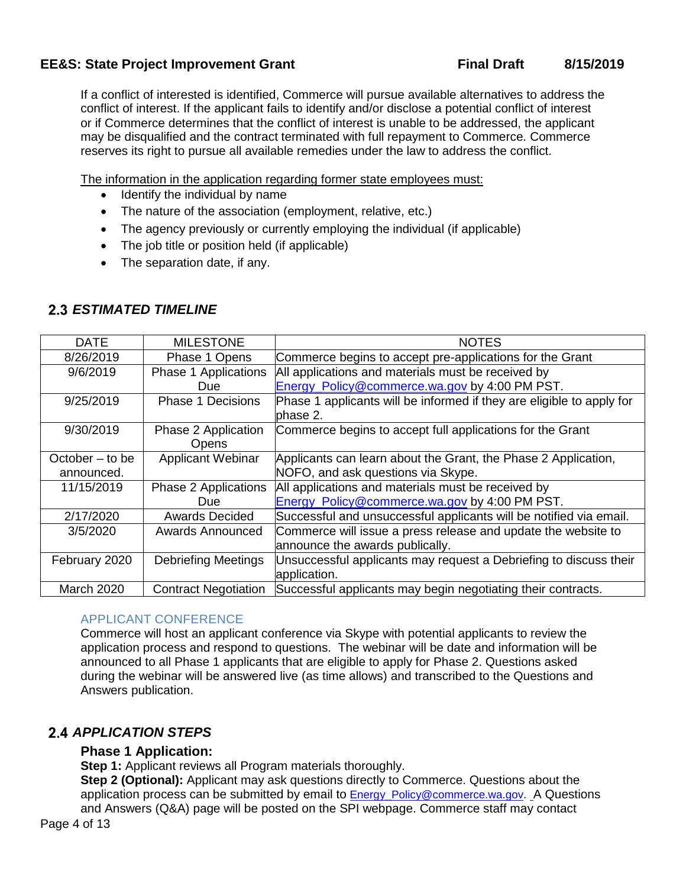If a conflict of interested is identified, Commerce will pursue available alternatives to address the conflict of interest. If the applicant fails to identify and/or disclose a potential conflict of interest or if Commerce determines that the conflict of interest is unable to be addressed, the applicant may be disqualified and the contract terminated with full repayment to Commerce. Commerce reserves its right to pursue all available remedies under the law to address the conflict.

The information in the application regarding former state employees must:

- Identify the individual by name
- The nature of the association (employment, relative, etc.)
- The agency previously or currently employing the individual (if applicable)
- The job title or position held (if applicable)
- The separation date, if any.

<span id="page-4-1"></span><span id="page-4-0"></span>

| <b>DATE</b>       | <b>MILESTONE</b>             | <b>NOTES</b>                                                                      |
|-------------------|------------------------------|-----------------------------------------------------------------------------------|
| 8/26/2019         | Phase 1 Opens                | Commerce begins to accept pre-applications for the Grant                          |
| 9/6/2019          | Phase 1 Applications         | All applications and materials must be received by                                |
|                   | Due                          | Energy Policy@commerce.wa.gov by 4:00 PM PST.                                     |
| 9/25/2019         | <b>Phase 1 Decisions</b>     | Phase 1 applicants will be informed if they are eligible to apply for<br>phase 2. |
| 9/30/2019         | Phase 2 Application<br>Opens | Commerce begins to accept full applications for the Grant                         |
| October $-$ to be | Applicant Webinar            | Applicants can learn about the Grant, the Phase 2 Application,                    |
| announced.        |                              | NOFO, and ask questions via Skype.                                                |
| 11/15/2019        | Phase 2 Applications         | All applications and materials must be received by                                |
|                   | Due                          | Energy_Policy@commerce.wa.gov by 4:00 PM PST.                                     |
| 2/17/2020         | <b>Awards Decided</b>        | Successful and unsuccessful applicants will be notified via email.                |
| 3/5/2020          | <b>Awards Announced</b>      | Commerce will issue a press release and update the website to                     |
|                   |                              | announce the awards publically.                                                   |
| February 2020     | <b>Debriefing Meetings</b>   | Unsuccessful applicants may request a Debriefing to discuss their                 |
|                   |                              | application.                                                                      |
| <b>March 2020</b> | <b>Contract Negotiation</b>  | Successful applicants may begin negotiating their contracts.                      |

### APPLICANT CONFERENCE

Commerce will host an applicant conference via Skype with potential applicants to review the application process and respond to questions. The webinar will be date and information will be announced to all Phase 1 applicants that are eligible to apply for Phase 2. Questions asked during the webinar will be answered live (as time allows) and transcribed to the Questions and Answers publication.

# <span id="page-4-2"></span>**2.4 APPLICATION STEPS**

### **Phase 1 Application:**

**Step 1:** Applicant reviews all Program materials thoroughly.

**Step 2 (Optional):** Applicant may ask questions directly to Commerce. Questions about the application process can be submitted by email to **[Energy\\_Policy@commerce.wa.gov](mailto:Energy_Policy@commerce.wa.gov).** A Questions and Answers (Q&A) page will be posted on the SPI [webpage.](http://www.commerce.wa.gov/Programs/Energy/Office/Pages/Clean-Energy-Funds-2.aspx) Commerce staff may contact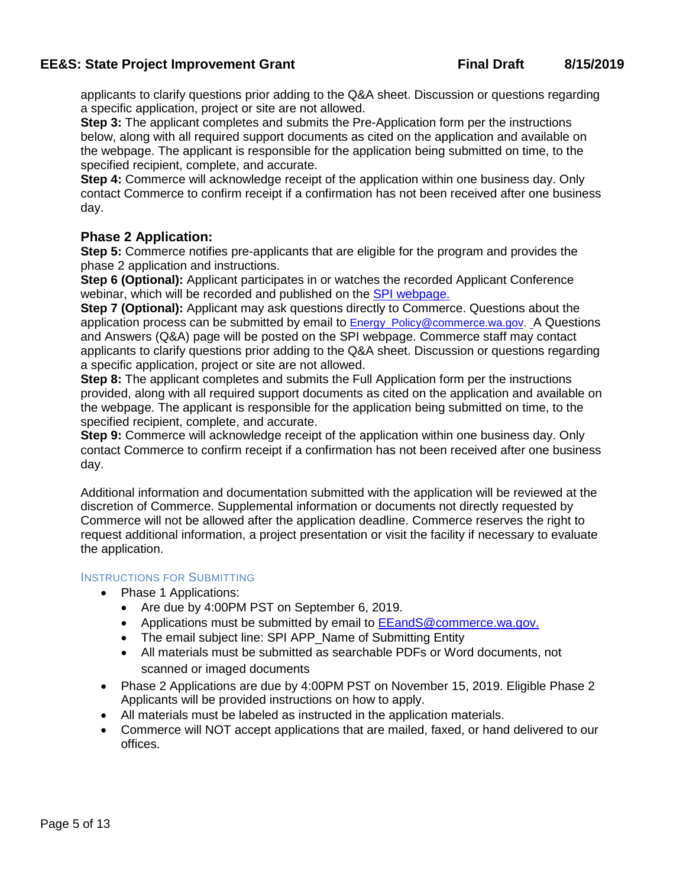applicants to clarify questions prior adding to the Q&A sheet. Discussion or questions regarding a specific application, project or site are not allowed.

**Step 3:** The applicant completes and submits the Pre-Application form per the instructions below, along with all required support documents as cited on the application and available on the webpage. The applicant is responsible for the application being submitted on time, to the specified recipient, complete, and accurate.

**Step 4:** Commerce will acknowledge receipt of the application within one business day. Only contact Commerce to confirm receipt if a confirmation has not been received after one business day.

### **Phase 2 Application:**

**Step 5:** Commerce notifies pre-applicants that are eligible for the program and provides the phase 2 application and instructions.

**Step 6 (Optional):** Applicant participates in or watches the recorded Applicant Conference webinar, which will be recorded and published on the [SPI webpage.](https://www.commerce.wa.gov/growing-the-economy/energy/energy-efficiency-and-solar-grants/state-project-improvement-grants/)

**Step 7 (Optional):** Applicant may ask questions directly to Commerce. Questions about the application process can be submitted by email to Energy Policy@commerce.wa.gov. A Questions and Answers (Q&A) page will be posted on the SPI [webpage.](http://www.commerce.wa.gov/Programs/Energy/Office/Pages/Clean-Energy-Funds-2.aspx) Commerce staff may contact applicants to clarify questions prior adding to the Q&A sheet. Discussion or questions regarding a specific application, project or site are not allowed.

**Step 8:** The applicant completes and submits the Full Application form per the instructions provided, along with all required support documents as cited on the application and available on the webpage. The applicant is responsible for the application being submitted on time, to the specified recipient, complete, and accurate.

**Step 9:** Commerce will acknowledge receipt of the application within one business day. Only contact Commerce to confirm receipt if a confirmation has not been received after one business day.

Additional information and documentation submitted with the application will be reviewed at the discretion of Commerce. Supplemental information or documents not directly requested by Commerce will not be allowed after the application deadline. Commerce reserves the right to request additional information, a project presentation or visit the facility if necessary to evaluate the application.

#### INSTRUCTIONS FOR SUBMITTING

- Phase 1 Applications:
	- Are due by 4:00PM PST on September 6, 2019.
	- Applications must be submitted by email to **[EEandS@commerce.wa.gov.](mailto:energy_policy@commerce.wa.gov)**
	- The email subject line: SPI APP\_Name of Submitting Entity
	- All materials must be submitted as searchable PDFs or Word documents, not scanned or imaged documents
- Phase 2 Applications are due by 4:00PM PST on November 15, 2019. Eligible Phase 2 Applicants will be provided instructions on how to apply.
- All materials must be labeled as instructed in the application materials.
- Commerce will NOT accept applications that are mailed, faxed, or hand delivered to our offices.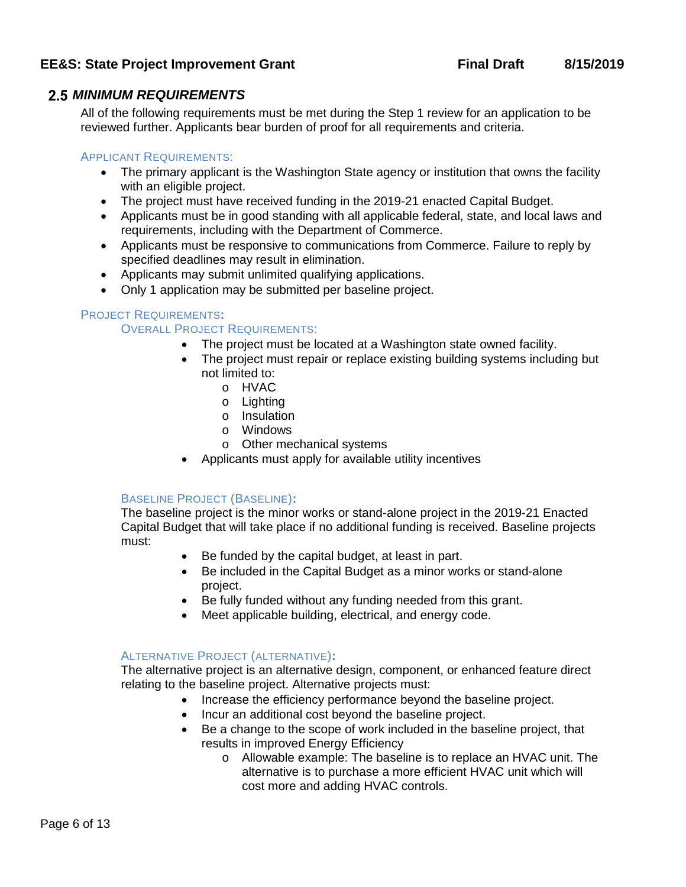### <span id="page-6-1"></span><span id="page-6-0"></span>*MINIMUM REQUIREMENTS*

All of the following requirements must be met during the Step 1 review for an application to be reviewed further. Applicants bear burden of proof for all requirements and criteria.

#### APPLICANT REQUIREMENTS:

- The primary applicant is the Washington State agency or institution that owns the facility with an eligible project.
- The project must have received funding in the 2019-21 enacted Capital Budget.
- Applicants must be in good standing with all applicable federal, state, and local laws and requirements, including with the Department of Commerce.
- Applicants must be responsive to communications from Commerce. Failure to reply by specified deadlines may result in elimination.
- Applicants may submit unlimited qualifying applications.
- Only 1 application may be submitted per baseline project.

#### PROJECT REQUIREMENTS**:**

#### OVERALL PROJECT REQUIREMENTS:

- The project must be located at a Washington state owned facility.
- The project must repair or replace existing building systems including but not limited to:
	- o HVAC
	- o Lighting
	- o Insulation
	- o Windows
	- o Other mechanical systems
- Applicants must apply for available utility incentives

### BASELINE PROJECT (BASELINE)**:**

The baseline project is the minor works or stand-alone project in the 2019-21 Enacted Capital Budget that will take place if no additional funding is received. Baseline projects must:

- Be funded by the capital budget, at least in part.
- Be included in the Capital Budget as a minor works or stand-alone project.
- Be fully funded without any funding needed from this grant.
- Meet applicable building, electrical, and energy code.

#### ALTERNATIVE PROJECT (ALTERNATIVE)**:**

The alternative project is an alternative design, component, or enhanced feature direct relating to the baseline project. Alternative projects must:

- Increase the efficiency performance beyond the baseline project.
- Incur an additional cost beyond the baseline project.
- Be a change to the scope of work included in the baseline project, that results in improved Energy Efficiency
	- o Allowable example: The baseline is to replace an HVAC unit. The alternative is to purchase a more efficient HVAC unit which will cost more and adding HVAC controls.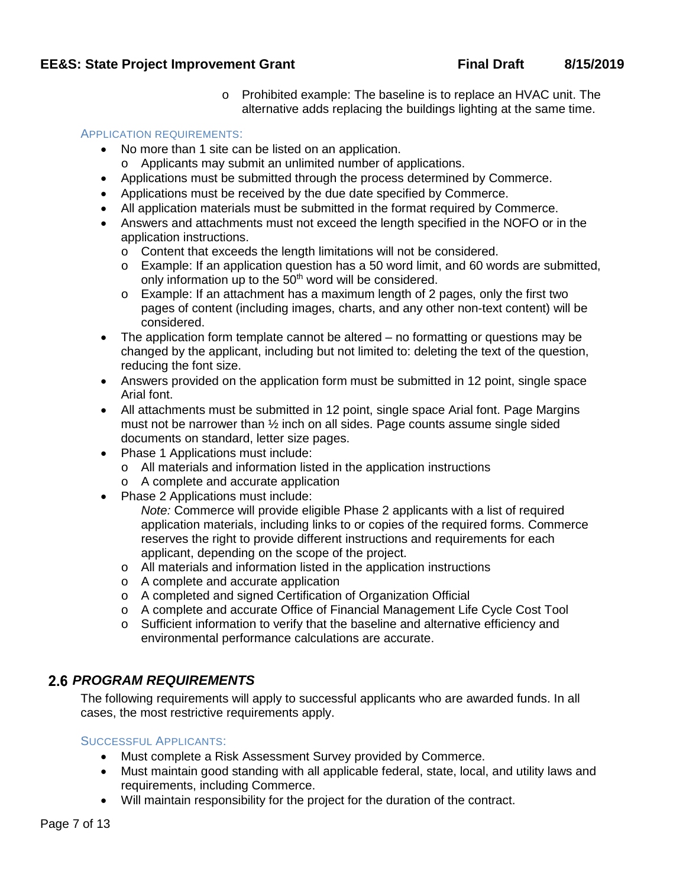o Prohibited example: The baseline is to replace an HVAC unit. The alternative adds replacing the buildings lighting at the same time.

#### APPLICATION REQUIREMENTS:

- No more than 1 site can be listed on an application.
- o Applicants may submit an unlimited number of applications.
- Applications must be submitted through the process determined by Commerce.
- Applications must be received by the due date specified by Commerce.
- All application materials must be submitted in the format required by Commerce.
- Answers and attachments must not exceed the length specified in the NOFO or in the application instructions.
	- o Content that exceeds the length limitations will not be considered.
	- o Example: If an application question has a 50 word limit, and 60 words are submitted, only information up to the 50<sup>th</sup> word will be considered.
	- $\circ$  Example: If an attachment has a maximum length of 2 pages, only the first two pages of content (including images, charts, and any other non-text content) will be considered.
- The application form template cannot be altered no formatting or questions may be changed by the applicant, including but not limited to: deleting the text of the question, reducing the font size.
- Answers provided on the application form must be submitted in 12 point, single space Arial font.
- All attachments must be submitted in 12 point, single space Arial font. Page Margins must not be narrower than ½ inch on all sides. Page counts assume single sided documents on standard, letter size pages.
- Phase 1 Applications must include:
	- o All materials and information listed in the application instructions
	- o A complete and accurate application
- Phase 2 Applications must include:
	- *Note:* Commerce will provide eligible Phase 2 applicants with a list of required application materials, including links to or copies of the required forms. Commerce reserves the right to provide different instructions and requirements for each applicant, depending on the scope of the project.
	- o All materials and information listed in the application instructions
	- o A complete and accurate application
	- o A completed and signed Certification of Organization Official
	- o A complete and accurate Office of Financial Management Life Cycle Cost Tool
	- o Sufficient information to verify that the baseline and alternative efficiency and environmental performance calculations are accurate.

## <span id="page-7-0"></span>*PROGRAM REQUIREMENTS*

The following requirements will apply to successful applicants who are awarded funds. In all cases, the most restrictive requirements apply.

#### SUCCESSFUL APPLICANTS:

- Must complete a Risk Assessment Survey provided by Commerce.
- Must maintain good standing with all applicable federal, state, local, and utility laws and requirements, including Commerce.
- Will maintain responsibility for the project for the duration of the contract.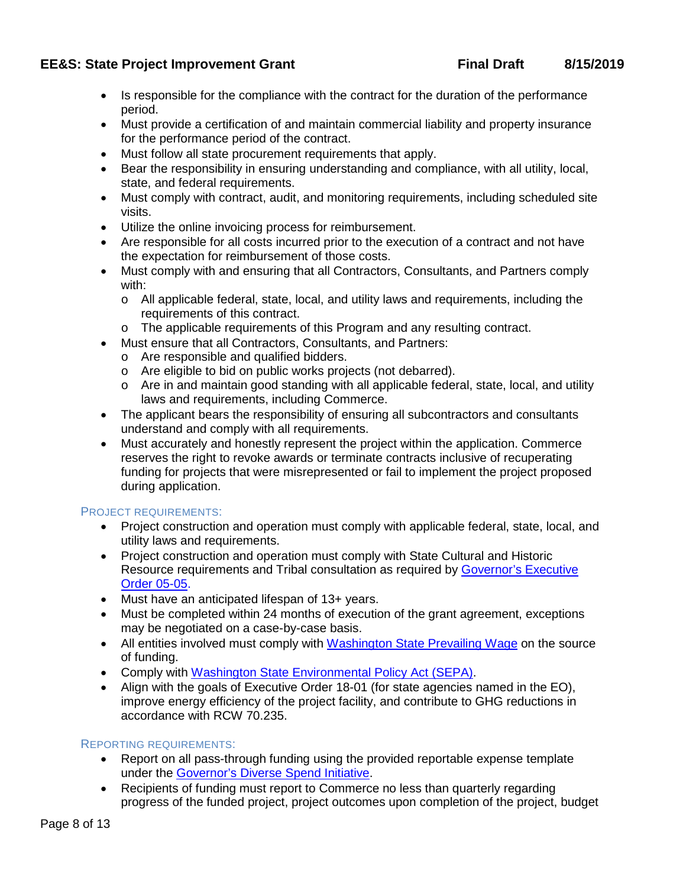- Is responsible for the compliance with the contract for the duration of the performance period.
- Must provide a certification of and maintain commercial liability and property insurance for the performance period of the contract.
- Must follow all state procurement requirements that apply.
- Bear the responsibility in ensuring understanding and compliance, with all utility, local, state, and federal requirements.
- Must comply with contract, audit, and monitoring requirements, including scheduled site visits.
- Utilize the online invoicing process for reimbursement.
- Are responsible for all costs incurred prior to the execution of a contract and not have the expectation for reimbursement of those costs.
- Must comply with and ensuring that all Contractors, Consultants, and Partners comply with:
	- o All applicable federal, state, local, and utility laws and requirements, including the requirements of this contract.
	- o The applicable requirements of this Program and any resulting contract.
- Must ensure that all Contractors, Consultants, and Partners:
	- o Are responsible and qualified bidders.
	- o Are eligible to bid on public works projects (not debarred).
	- $\circ$  Are in and maintain good standing with all applicable federal, state, local, and utility laws and requirements, including Commerce.
- The applicant bears the responsibility of ensuring all subcontractors and consultants understand and comply with all requirements.
- Must accurately and honestly represent the project within the application. Commerce reserves the right to revoke awards or terminate contracts inclusive of recuperating funding for projects that were misrepresented or fail to implement the project proposed during application.

### PROJECT REQUIREMENTS:

- Project construction and operation must comply with applicable federal, state, local, and utility laws and requirements.
- Project construction and operation must comply with State Cultural and Historic Resource requirements and Tribal consultation as required by [Governor's Executive](https://dahp.wa.gov/project-review/governors-executive-order-05-05)  [Order 05-05.](https://dahp.wa.gov/project-review/governors-executive-order-05-05)
- Must have an anticipated lifespan of 13+ years.
- Must be completed within 24 months of execution of the grant agreement, exceptions may be negotiated on a case-by-case basis.
- All entities involved must comply with [Washington State Prevailing Wage](http://www.lni.wa.gov/TradesLicensing/PrevWage/WageRates/) on the source of funding.
- Comply with [Washington State Environmental Policy Act \(SEPA\)](https://ecology.wa.gov/regulations-permits/SEPA-environmental-review).
- Align with the goals of Executive Order 18-01 (for state agencies named in the EO), improve energy efficiency of the project facility, and contribute to GHG reductions in accordance with RCW 70.235.

### REPORTING REQUIREMENTS:

- Report on all pass-through funding using the provided reportable expense template under the [Governor's Diverse Spend Initiative.](https://omwbe.wa.gov/state-supplier-diversity-reporting)
- Recipients of funding must report to Commerce no less than quarterly regarding progress of the funded project, project outcomes upon completion of the project, budget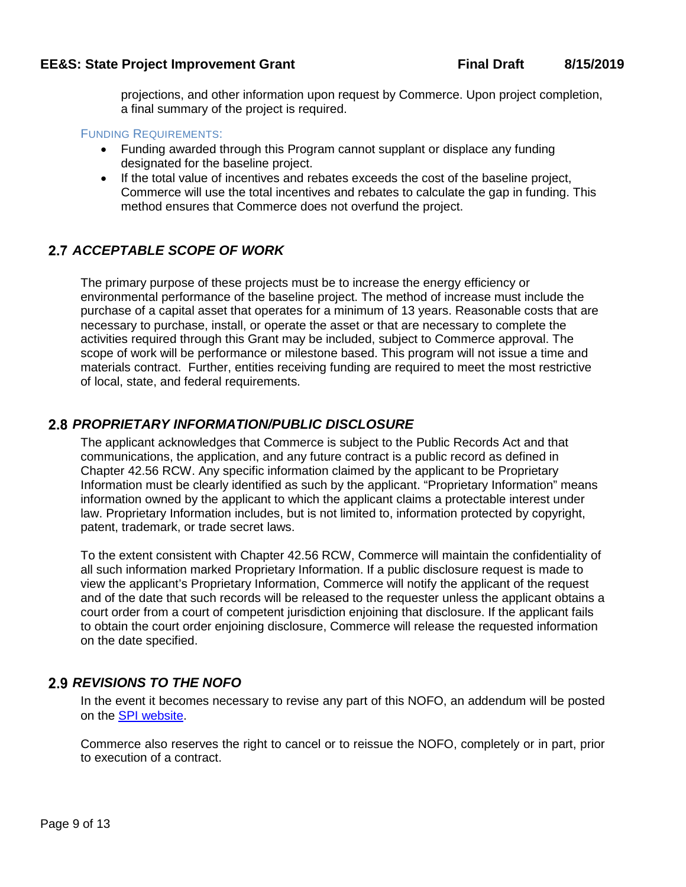projections, and other information upon request by Commerce. Upon project completion, a final summary of the project is required.

#### FUNDING REQUIREMENTS:

- Funding awarded through this Program cannot supplant or displace any funding designated for the baseline project.
- If the total value of incentives and rebates exceeds the cost of the baseline project, Commerce will use the total incentives and rebates to calculate the gap in funding. This method ensures that Commerce does not overfund the project.

## <span id="page-9-0"></span>**2.7 ACCEPTABLE SCOPE OF WORK**

The primary purpose of these projects must be to increase the energy efficiency or environmental performance of the baseline project. The method of increase must include the purchase of a capital asset that operates for a minimum of 13 years. Reasonable costs that are necessary to purchase, install, or operate the asset or that are necessary to complete the activities required through this Grant may be included, subject to Commerce approval. The scope of work will be performance or milestone based. This program will not issue a time and materials contract. Further, entities receiving funding are required to meet the most restrictive of local, state, and federal requirements.

## <span id="page-9-1"></span>*PROPRIETARY INFORMATION/PUBLIC DISCLOSURE*

The applicant acknowledges that Commerce is subject to the Public Records Act and that communications, the application, and any future contract is a public record as defined in Chapter 42.56 RCW. Any specific information claimed by the applicant to be Proprietary Information must be clearly identified as such by the applicant. "Proprietary Information" means information owned by the applicant to which the applicant claims a protectable interest under law. Proprietary Information includes, but is not limited to, information protected by copyright, patent, trademark, or trade secret laws.

To the extent consistent with Chapter 42.56 RCW, Commerce will maintain the confidentiality of all such information marked Proprietary Information. If a public disclosure request is made to view the applicant's Proprietary Information, Commerce will notify the applicant of the request and of the date that such records will be released to the requester unless the applicant obtains a court order from a court of competent jurisdiction enjoining that disclosure. If the applicant fails to obtain the court order enjoining disclosure, Commerce will release the requested information on the date specified.

## <span id="page-9-2"></span>*REVISIONS TO THE NOFO*

In the event it becomes necessary to revise any part of this NOFO, an addendum will be posted on the [SPI website.](https://www.commerce.wa.gov/growing-the-economy/energy/energy-efficiency-and-solar-grants/state-project-improvement-grants/)

Commerce also reserves the right to cancel or to reissue the NOFO, completely or in part, prior to execution of a contract.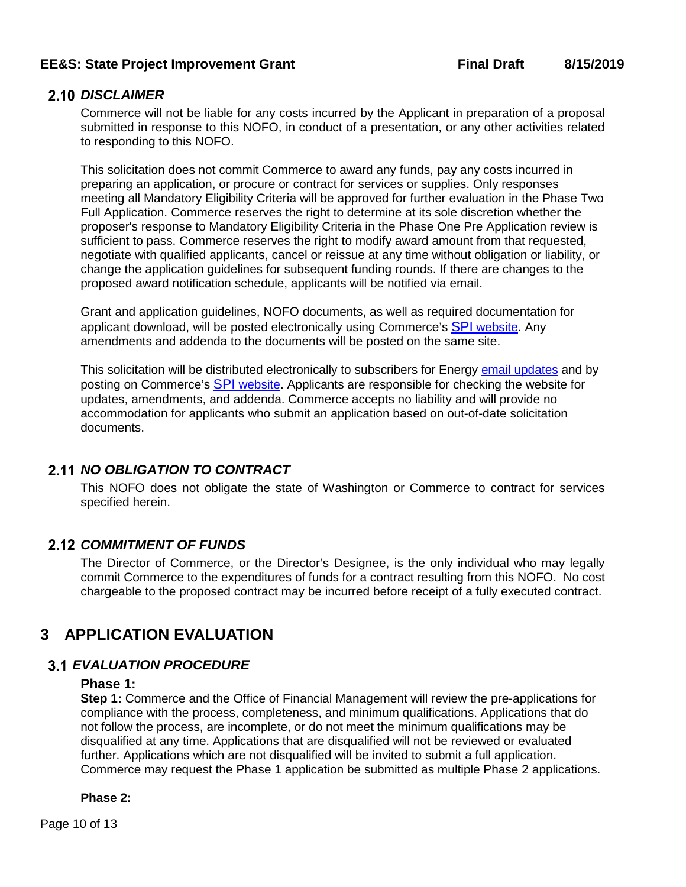### <span id="page-10-0"></span>2.10 DISCLAIMER

Commerce will not be liable for any costs incurred by the Applicant in preparation of a proposal submitted in response to this NOFO, in conduct of a presentation, or any other activities related to responding to this NOFO.

This solicitation does not commit Commerce to award any funds, pay any costs incurred in preparing an application, or procure or contract for services or supplies. Only responses meeting all Mandatory Eligibility Criteria will be approved for further evaluation in the Phase Two Full Application. Commerce reserves the right to determine at its sole discretion whether the proposer's response to Mandatory Eligibility Criteria in the Phase One Pre Application review is sufficient to pass. Commerce reserves the right to modify award amount from that requested, negotiate with qualified applicants, cancel or reissue at any time without obligation or liability, or change the application guidelines for subsequent funding rounds. If there are changes to the proposed award notification schedule, applicants will be notified via email.

Grant and application guidelines, NOFO documents, as well as required documentation for applicant download, will be posted electronically using Commerce's SPI [website](https://www.commerce.wa.gov/growing-the-economy/energy/energy-efficiency-and-solar-grants/state-project-improvement-grants/). Any amendments and addenda to the documents will be posted on the same site.

This solicitation will be distributed electronically to subscribers for Energy [email updates](https://public.govdelivery.com/accounts/WADOC/subscriber/new?pop=t) and by posting on Commerce's SPI [website](https://www.commerce.wa.gov/growing-the-economy/energy/energy-efficiency-and-solar-grants/state-project-improvement-grants/). Applicants are responsible for checking the website for updates, amendments, and addenda. Commerce accepts no liability and will provide no accommodation for applicants who submit an application based on out-of-date solicitation documents.

# <span id="page-10-1"></span>*NO OBLIGATION TO CONTRACT*

This NOFO does not obligate the state of Washington or Commerce to contract for services specified herein.

## <span id="page-10-2"></span>*COMMITMENT OF FUNDS*

The Director of Commerce, or the Director's Designee, is the only individual who may legally commit Commerce to the expenditures of funds for a contract resulting from this NOFO. No cost chargeable to the proposed contract may be incurred before receipt of a fully executed contract.

# <span id="page-10-3"></span>**3 APPLICATION EVALUATION**

## <span id="page-10-4"></span>*EVALUATION PROCEDURE*

### **Phase 1:**

**Step 1:** Commerce and the Office of Financial Management will review the pre-applications for compliance with the process, completeness, and minimum qualifications. Applications that do not follow the process, are incomplete, or do not meet the minimum qualifications may be disqualified at any time. Applications that are disqualified will not be reviewed or evaluated further. Applications which are not disqualified will be invited to submit a full application. Commerce may request the Phase 1 application be submitted as multiple Phase 2 applications.

### **Phase 2:**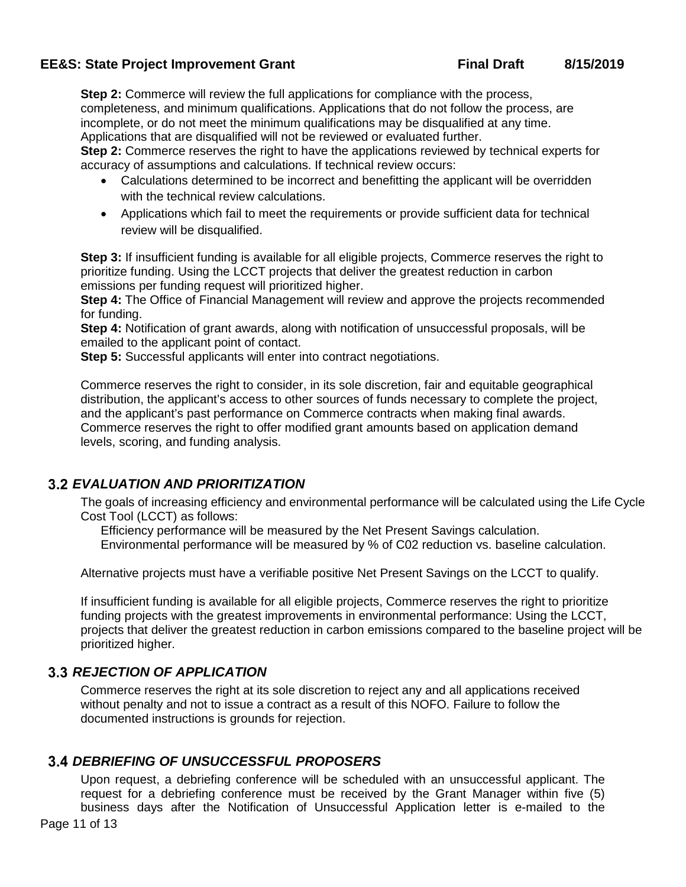**Step 2:** Commerce will review the full applications for compliance with the process, completeness, and minimum qualifications. Applications that do not follow the process, are incomplete, or do not meet the minimum qualifications may be disqualified at any time. Applications that are disqualified will not be reviewed or evaluated further.

**Step 2:** Commerce reserves the right to have the applications reviewed by technical experts for accuracy of assumptions and calculations. If technical review occurs:

- Calculations determined to be incorrect and benefitting the applicant will be overridden with the technical review calculations.
- Applications which fail to meet the requirements or provide sufficient data for technical review will be disqualified.

**Step 3:** If insufficient funding is available for all eligible projects, Commerce reserves the right to prioritize funding. Using the LCCT projects that deliver the greatest reduction in carbon emissions per funding request will prioritized higher.

**Step 4:** The Office of Financial Management will review and approve the projects recommended for funding.

**Step 4:** Notification of grant awards, along with notification of unsuccessful proposals, will be emailed to the applicant point of contact.

**Step 5:** Successful applicants will enter into contract negotiations.

Commerce reserves the right to consider, in its sole discretion, fair and equitable geographical distribution, the applicant's access to other sources of funds necessary to complete the project, and the applicant's past performance on Commerce contracts when making final awards. Commerce reserves the right to offer modified grant amounts based on application demand levels, scoring, and funding analysis.

## <span id="page-11-0"></span>*EVALUATION AND PRIORITIZATION*

The goals of increasing efficiency and environmental performance will be calculated using the Life Cycle Cost Tool (LCCT) as follows:

 Efficiency performance will be measured by the Net Present Savings calculation. Environmental performance will be measured by % of C02 reduction vs. baseline calculation.

Alternative projects must have a verifiable positive Net Present Savings on the LCCT to qualify.

If insufficient funding is available for all eligible projects, Commerce reserves the right to prioritize funding projects with the greatest improvements in environmental performance: Using the LCCT, projects that deliver the greatest reduction in carbon emissions compared to the baseline project will be prioritized higher.

## <span id="page-11-1"></span>*REJECTION OF APPLICATION*

Commerce reserves the right at its sole discretion to reject any and all applications received without penalty and not to issue a contract as a result of this NOFO. Failure to follow the documented instructions is grounds for rejection.

# <span id="page-11-2"></span>*DEBRIEFING OF UNSUCCESSFUL PROPOSERS*

Upon request, a debriefing conference will be scheduled with an unsuccessful applicant. The request for a debriefing conference must be received by the Grant Manager within five (5) business days after the Notification of Unsuccessful Application letter is e-mailed to the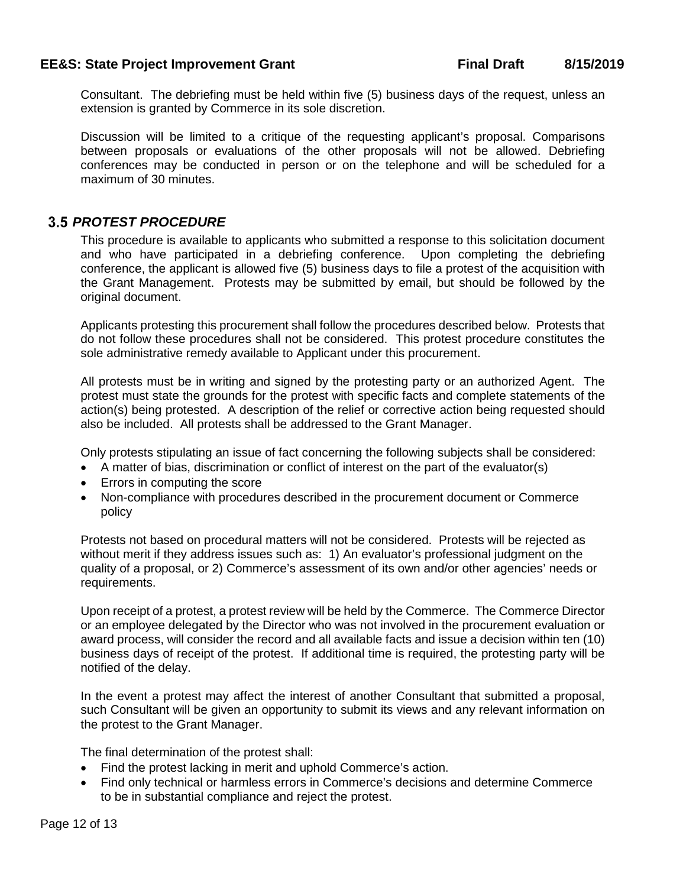Consultant. The debriefing must be held within five (5) business days of the request, unless an extension is granted by Commerce in its sole discretion.

Discussion will be limited to a critique of the requesting applicant's proposal. Comparisons between proposals or evaluations of the other proposals will not be allowed. Debriefing conferences may be conducted in person or on the telephone and will be scheduled for a maximum of 30 minutes.

## <span id="page-12-0"></span>*PROTEST PROCEDURE*

This procedure is available to applicants who submitted a response to this solicitation document and who have participated in a debriefing conference. Upon completing the debriefing conference, the applicant is allowed five (5) business days to file a protest of the acquisition with the Grant Management. Protests may be submitted by email, but should be followed by the original document.

Applicants protesting this procurement shall follow the procedures described below. Protests that do not follow these procedures shall not be considered. This protest procedure constitutes the sole administrative remedy available to Applicant under this procurement.

All protests must be in writing and signed by the protesting party or an authorized Agent. The protest must state the grounds for the protest with specific facts and complete statements of the action(s) being protested. A description of the relief or corrective action being requested should also be included. All protests shall be addressed to the Grant Manager.

Only protests stipulating an issue of fact concerning the following subjects shall be considered:

- A matter of bias, discrimination or conflict of interest on the part of the evaluator(s)
- Errors in computing the score
- Non-compliance with procedures described in the procurement document or Commerce policy

Protests not based on procedural matters will not be considered. Protests will be rejected as without merit if they address issues such as: 1) An evaluator's professional judgment on the quality of a proposal, or 2) Commerce's assessment of its own and/or other agencies' needs or requirements.

Upon receipt of a protest, a protest review will be held by the Commerce. The Commerce Director or an employee delegated by the Director who was not involved in the procurement evaluation or award process, will consider the record and all available facts and issue a decision within ten (10) business days of receipt of the protest. If additional time is required, the protesting party will be notified of the delay.

In the event a protest may affect the interest of another Consultant that submitted a proposal, such Consultant will be given an opportunity to submit its views and any relevant information on the protest to the Grant Manager.

The final determination of the protest shall:

- Find the protest lacking in merit and uphold Commerce's action.
- Find only technical or harmless errors in Commerce's decisions and determine Commerce to be in substantial compliance and reject the protest.